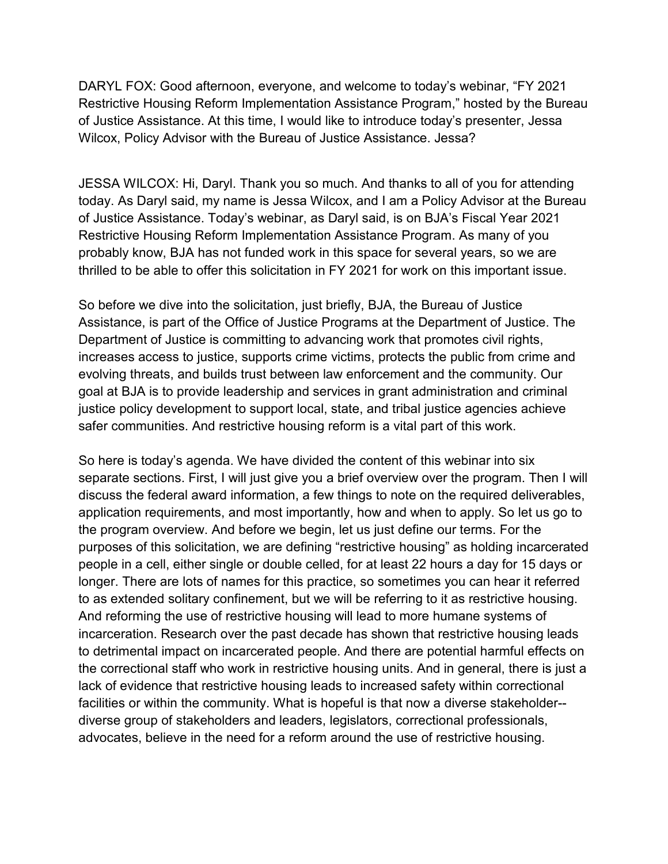of Justice Assistance. At this time, I would like to introduce today's presenter, Jessa Wilcox, Policy Advisor with the Bureau of Justice Assistance. Jessa? DARYL FOX: Good afternoon, everyone, and welcome to today's webinar, "FY 2021 Restrictive Housing Reform Implementation Assistance Program," hosted by the Bureau

 today. As Daryl said, my name is Jessa Wilcox, and I am a Policy Advisor at the Bureau thrilled to be able to offer this solicitation in FY 2021 for work on this important issue. JESSA WILCOX: Hi, Daryl. Thank you so much. And thanks to all of you for attending of Justice Assistance. Today's webinar, as Daryl said, is on BJA's Fiscal Year 2021 Restrictive Housing Reform Implementation Assistance Program. As many of you probably know, BJA has not funded work in this space for several years, so we are

 Department of Justice is committing to advancing work that promotes civil rights, safer communities. And restrictive housing reform is a vital part of this work. So before we dive into the solicitation, just briefly, BJA, the Bureau of Justice Assistance, is part of the Office of Justice Programs at the Department of Justice. The increases access to justice, supports crime victims, protects the public from crime and evolving threats, and builds trust between law enforcement and the community. Our goal at BJA is to provide leadership and services in grant administration and criminal justice policy development to support local, state, and tribal justice agencies achieve

safer communities. And restrictive housing reform is a vital part of this work.<br>So here is today's agenda. We have divided the content of this webinar into six separate sections. First, I will just give you a brief overview over the program. Then I will application requirements, and most importantly, how and when to apply. So let us go to the program overview. And before we begin, let us just define our terms. For the longer. There are lots of names for this practice, so sometimes you can hear it referred to as extended solitary confinement, but we will be referring to it as restrictive housing. And reforming the use of restrictive housing will lead to more humane systems of to detrimental impact on incarcerated people. And there are potential harmful effects on facilities or within the community. What is hopeful is that now a diverse stakeholder-- advocates, believe in the need for a reform around the use of restrictive housing. discuss the federal award information, a few things to note on the required deliverables, purposes of this solicitation, we are defining "restrictive housing" as holding incarcerated people in a cell, either single or double celled, for at least 22 hours a day for 15 days or incarceration. Research over the past decade has shown that restrictive housing leads the correctional staff who work in restrictive housing units. And in general, there is just a lack of evidence that restrictive housing leads to increased safety within correctional diverse group of stakeholders and leaders, legislators, correctional professionals,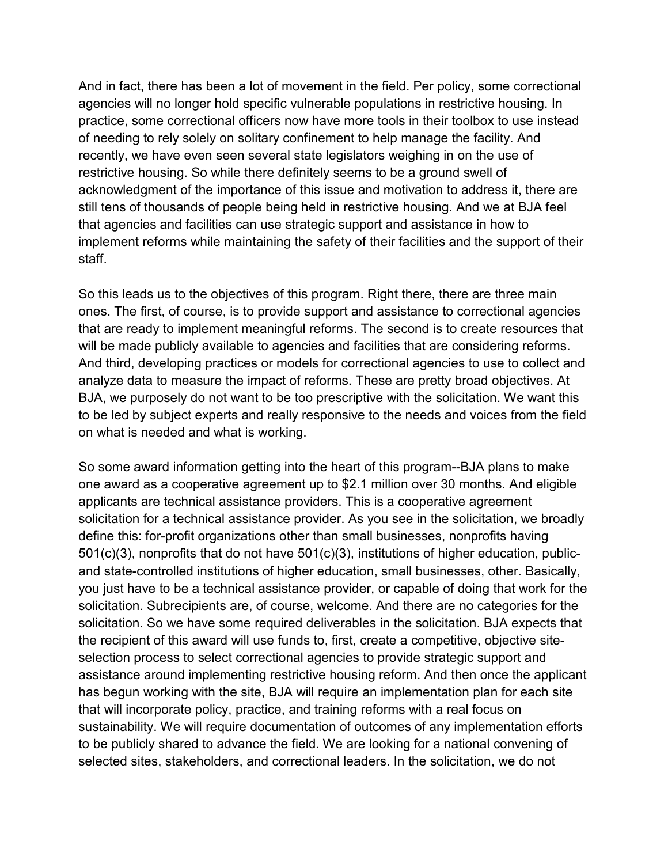recently, we have even seen several state legislators weighing in on the use of acknowledgment of the importance of this issue and motivation to address it, there are still tens of thousands of people being held in restrictive housing. And we at BJA feel that agencies and facilities can use strategic support and assistance in how to implement reforms while maintaining the safety of their facilities and the support of their staff. And in fact, there has been a lot of movement in the field. Per policy, some correctional agencies will no longer hold specific vulnerable populations in restrictive housing. In practice, some correctional officers now have more tools in their toolbox to use instead of needing to rely solely on solitary confinement to help manage the facility. And restrictive housing. So while there definitely seems to be a ground swell of

staff.<br>So this leads us to the objectives of this program. Right there, there are three main ones. The first, of course, is to provide support and assistance to correctional agencies that are ready to implement meaningful reforms. The second is to create resources that And third, developing practices or models for correctional agencies to use to collect and BJA, we purposely do not want to be too prescriptive with the solicitation. We want this on what is needed and what is working. will be made publicly available to agencies and facilities that are considering reforms. analyze data to measure the impact of reforms. These are pretty broad objectives. At to be led by subject experts and really responsive to the needs and voices from the field

 applicants are technical assistance providers. This is a cooperative agreement solicitation for a technical assistance provider. As you see in the solicitation, we broadly 501(c)(3), nonprofits that do not have 501(c)(3), institutions of higher education, public- you just have to be a technical assistance provider, or capable of doing that work for the solicitation. Subrecipients are, of course, welcome. And there are no categories for the that will incorporate policy, practice, and training reforms with a real focus on sustainability. We will require documentation of outcomes of any implementation efforts So some award information getting into the heart of this program--BJA plans to make one award as a cooperative agreement up to \$2.1 million over 30 months. And eligible define this: for-profit organizations other than small businesses, nonprofits having and state-controlled institutions of higher education, small businesses, other. Basically, solicitation. So we have some required deliverables in the solicitation. BJA expects that the recipient of this award will use funds to, first, create a competitive, objective siteselection process to select correctional agencies to provide strategic support and assistance around implementing restrictive housing reform. And then once the applicant has begun working with the site, BJA will require an implementation plan for each site to be publicly shared to advance the field. We are looking for a national convening of selected sites, stakeholders, and correctional leaders. In the solicitation, we do not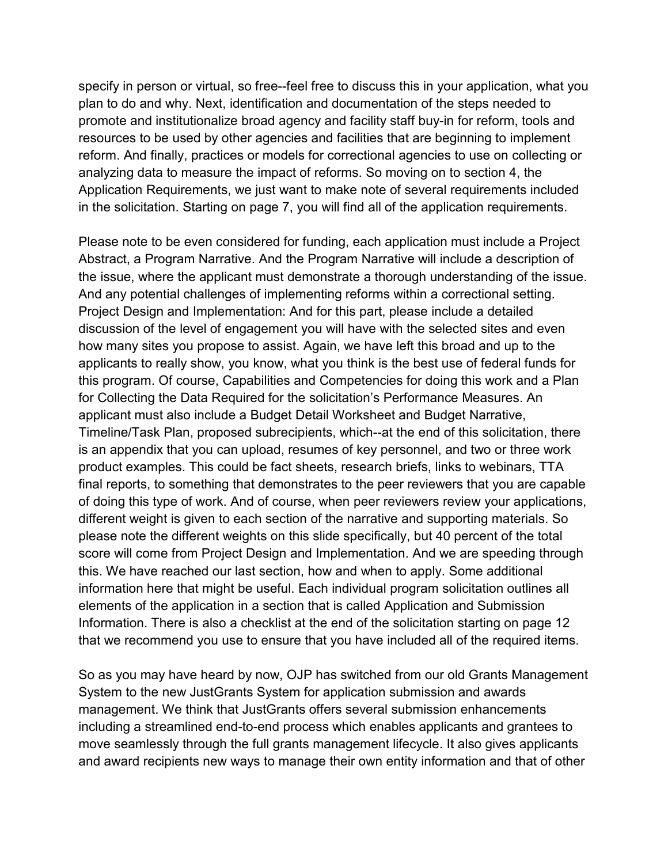reform. And finally, practices or models for correctional agencies to use on collecting or in the solicitation. Starting on page 7, you will find all of the application requirements. specify in person or virtual, so free--feel free to discuss this in your application, what you plan to do and why. Next, identification and documentation of the steps needed to promote and institutionalize broad agency and facility staff buy-in for reform, tools and resources to be used by other agencies and facilities that are beginning to implement analyzing data to measure the impact of reforms. So moving on to section 4, the Application Requirements, we just want to make note of several requirements included

 And any potential challenges of implementing reforms within a correctional setting. how many sites you propose to assist. Again, we have left this broad and up to the this program. Of course, Capabilities and Competencies for doing this work and a Plan for Collecting the Data Required for the solicitation's Performance Measures. An applicant must also include a Budget Detail Worksheet and Budget Narrative, product examples. This could be fact sheets, research briefs, links to webinars, TTA please note the different weights on this slide specifically, but 40 percent of the total this. We have reached our last section, how and when to apply. Some additional elements of the application in a section that is called Application and Submission Information. There is also a checklist at the end of the solicitation starting on page 12 that we recommend you use to ensure that you have included all of the required items. Please note to be even considered for funding, each application must include a Project Abstract, a Program Narrative. And the Program Narrative will include a description of the issue, where the applicant must demonstrate a thorough understanding of the issue. Project Design and Implementation: And for this part, please include a detailed discussion of the level of engagement you will have with the selected sites and even applicants to really show, you know, what you think is the best use of federal funds for Timeline/Task Plan, proposed subrecipients, which--at the end of this solicitation, there is an appendix that you can upload, resumes of key personnel, and two or three work final reports, to something that demonstrates to the peer reviewers that you are capable of doing this type of work. And of course, when peer reviewers review your applications, different weight is given to each section of the narrative and supporting materials. So score will come from Project Design and Implementation. And we are speeding through information here that might be useful. Each individual program solicitation outlines all

 So as you may have heard by now, OJP has switched from our old Grants Management and award recipients new ways to manage their own entity information and that of other System to the new JustGrants System for application submission and awards management. We think that JustGrants offers several submission enhancements including a streamlined end-to-end process which enables applicants and grantees to move seamlessly through the full grants management lifecycle. It also gives applicants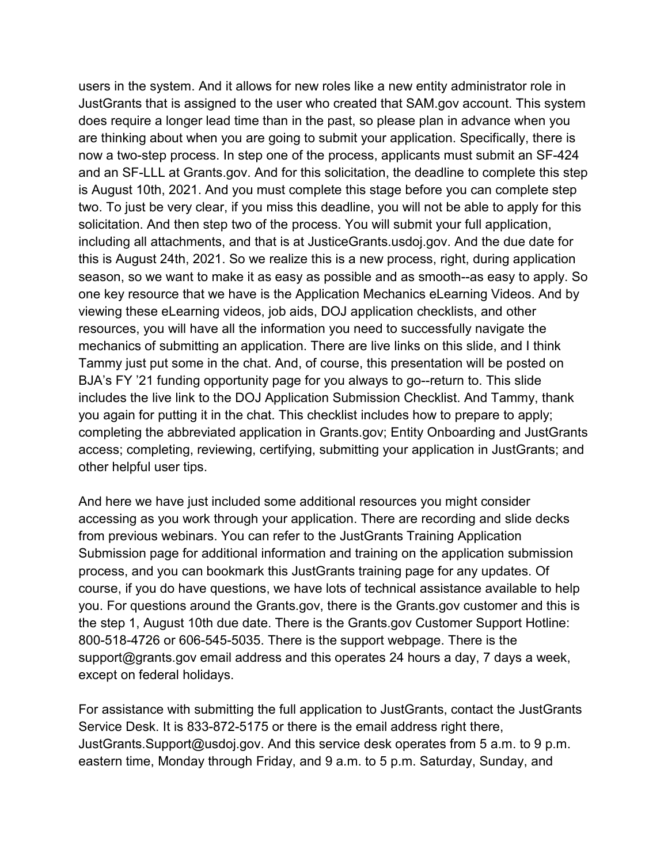are thinking about when you are going to submit your application. Specifically, there is now a two-step process. In step one of the process, applicants must submit an SF-424 including all attachments, and that is at [JusticeGrants.usdoj.gov](https://JusticeGrants.usdoj.gov). And the due date for this is August 24th, 2021. So we realize this is a new process, right, during application resources, you will have all the information you need to successfully navigate the includes the live link to the DOJ Application Submission Checklist. And Tammy, thank other helpful user tips. users in the system. And it allows for new roles like a new entity administrator role in JustGrants that is assigned to the user who created that SAM.gov account. This system does require a longer lead time than in the past, so please plan in advance when you and an SF-LLL at [Grants.gov.](https://Grants.gov) And for this solicitation, the deadline to complete this step is August 10th, 2021. And you must complete this stage before you can complete step two. To just be very clear, if you miss this deadline, you will not be able to apply for this solicitation. And then step two of the process. You will submit your full application, season, so we want to make it as easy as possible and as smooth--as easy to apply. So one key resource that we have is the Application Mechanics eLearning Videos. And by viewing these eLearning videos, job aids, DOJ application checklists, and other mechanics of submitting an application. There are live links on this slide, and I think Tammy just put some in the chat. And, of course, this presentation will be posted on BJA's FY '21 funding opportunity page for you always to go--return to. This slide you again for putting it in the chat. This checklist includes how to prepare to apply; completing the abbreviated application in [Grants.gov](https://Grants.gov); Entity Onboarding and JustGrants access; completing, reviewing, certifying, submitting your application in JustGrants; and

other helpful user tips.<br>And here we have just included some additional resources you might consider accessing as you work through your application. There are recording and slide decks process, and you can bookmark this JustGrants training page for any updates. Of the step 1, August 10th due date. There is the [Grants.gov](https://Grants.gov) Customer Support Hotline: 800-518-4726 or 606-545-5035. There is the support webpage. There is the [support@grants.gov](mailto:support@grants.gov) email address and this operates 24 hours a day, 7 days a week, except on federal holidays. from previous webinars. You can refer to the JustGrants Training Application Submission page for additional information and training on the application submission course, if you do have questions, we have lots of technical assistance available to help you. For questions around the [Grants.gov,](https://Grants.gov) there is the [Grants.gov](https://Grants.gov) customer and this is

 Service Desk. It is 833-872-5175 or there is the email address right there, [JustGrants.Support@usdoj.gov.](mailto:JustGrants.Support@usdoj.gov) And this service desk operates from 5 a.m. to 9 p.m. eastern time, Monday through Friday, and 9 a.m. to 5 p.m. Saturday, Sunday, and For assistance with submitting the full application to JustGrants, contact the JustGrants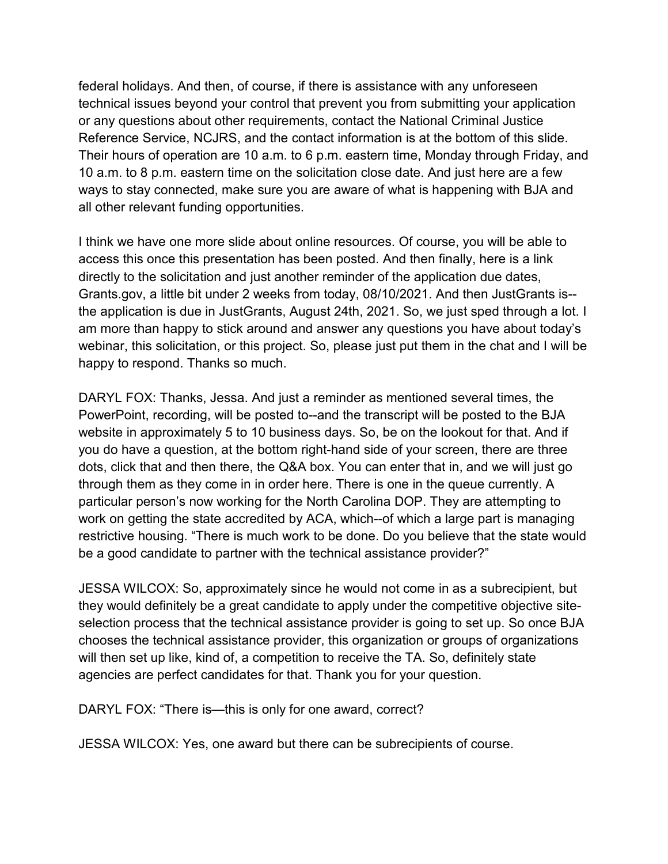federal holidays. And then, of course, if there is assistance with any unforeseen Their hours of operation are 10 a.m. to 6 p.m. eastern time, Monday through Friday, and 10 a.m. to 8 p.m. eastern time on the solicitation close date. And just here are a few ways to stay connected, make sure you are aware of what is happening with BJA and all other relevant funding opportunities. technical issues beyond your control that prevent you from submitting your application or any questions about other requirements, contact the National Criminal Justice Reference Service, NCJRS, and the contact information is at the bottom of this slide.

all other relevant funding opportunities.<br>I think we have one more slide about online resources. Of course, you will be able to access this once this presentation has been posted. And then finally, here is a link [Grants.gov,](https://Grants.gov) a little bit under 2 weeks from today, 08/10/2021. And then JustGrants is-- the application is due in JustGrants, August 24th, 2021. So, we just sped through a lot. I webinar, this solicitation, or this project. So, please just put them in the chat and I will be directly to the solicitation and just another reminder of the application due dates, am more than happy to stick around and answer any questions you have about today's happy to respond. Thanks so much.

 you do have a question, at the bottom right-hand side of your screen, there are three dots, click that and then there, the Q&A box. You can enter that in, and we will just go particular person's now working for the North Carolina DOP. They are attempting to work on getting the state accredited by ACA, which--of which a large part is managing restrictive housing. "There is much work to be done. Do you believe that the state would be a good candidate to partner with the technical assistance provider?" DARYL FOX: Thanks, Jessa. And just a reminder as mentioned several times, the PowerPoint, recording, will be posted to--and the transcript will be posted to the BJA website in approximately 5 to 10 business days. So, be on the lookout for that. And if through them as they come in in order here. There is one in the queue currently. A

 JESSA WILCOX: So, approximately since he would not come in as a subrecipient, but chooses the technical assistance provider, this organization or groups of organizations they would definitely be a great candidate to apply under the competitive objective siteselection process that the technical assistance provider is going to set up. So once BJA will then set up like, kind of, a competition to receive the TA. So, definitely state agencies are perfect candidates for that. Thank you for your question.

DARYL FOX: "There is—this is only for one award, correct?

JESSA WILCOX: Yes, one award but there can be subrecipients of course.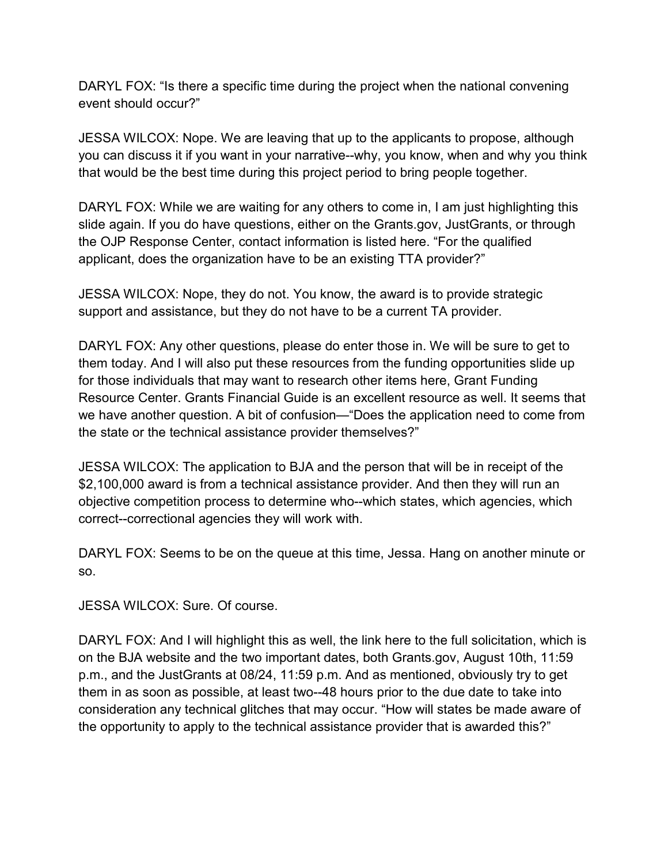DARYL FOX: "Is there a specific time during the project when the national convening event should occur?"

 JESSA WILCOX: Nope. We are leaving that up to the applicants to propose, although you can discuss it if you want in your narrative--why, you know, when and why you think that would be the best time during this project period to bring people together.

 DARYL FOX: While we are waiting for any others to come in, I am just highlighting this slide again. If you do have questions, either on the [Grants.gov,](https://Grants.gov) JustGrants, or through the OJP Response Center, contact information is listed here. "For the qualified applicant, does the organization have to be an existing TTA provider?"

 support and assistance, but they do not have to be a current TA provider. JESSA WILCOX: Nope, they do not. You know, the award is to provide strategic

 DARYL FOX: Any other questions, please do enter those in. We will be sure to get to for those individuals that may want to research other items here, Grant Funding Resource Center. Grants Financial Guide is an excellent resource as well. It seems that them today. And I will also put these resources from the funding opportunities slide up we have another question. A bit of confusion—"Does the application need to come from the state or the technical assistance provider themselves?"

 JESSA WILCOX: The application to BJA and the person that will be in receipt of the \$2,100,000 award is from a technical assistance provider. And then they will run an correct--correctional agencies they will work with. objective competition process to determine who--which states, which agencies, which

 DARYL FOX: Seems to be on the queue at this time, Jessa. Hang on another minute or so.

JESSA WILCOX: Sure. Of course.

 DARYL FOX: And I will highlight this as well, the link here to the full solicitation, which is p.m., and the JustGrants at 08/24, 11:59 p.m. And as mentioned, obviously try to get the opportunity to apply to the technical assistance provider that is awarded this?" on the BJA website and the two important dates, both [Grants.gov](https://Grants.gov), August 10th, 11:59 them in as soon as possible, at least two--48 hours prior to the due date to take into consideration any technical glitches that may occur. "How will states be made aware of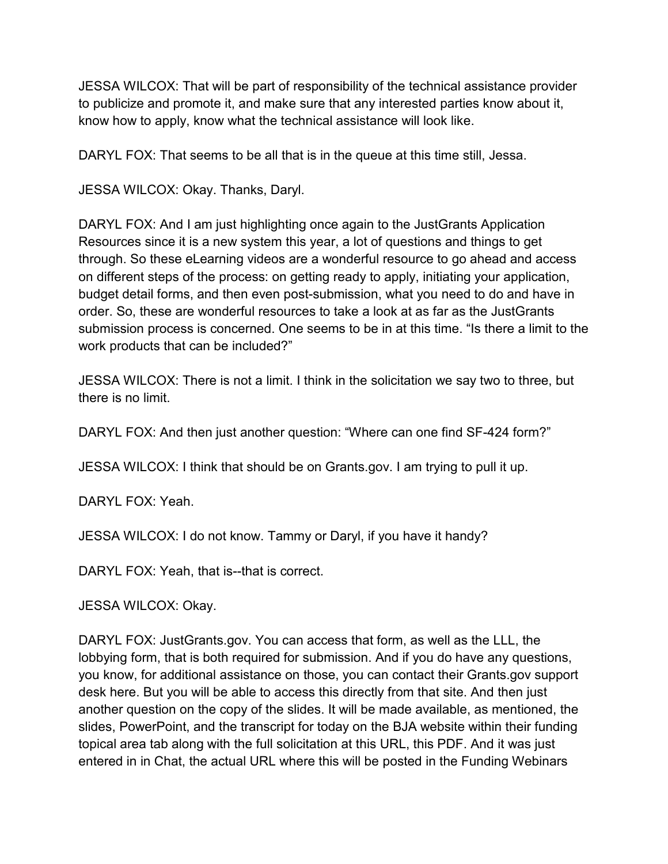JESSA WILCOX: That will be part of responsibility of the technical assistance provider to publicize and promote it, and make sure that any interested parties know about it, know how to apply, know what the technical assistance will look like.

DARYL FOX: That seems to be all that is in the queue at this time still, Jessa.

JESSA WILCOX: Okay. Thanks, Daryl.

 DARYL FOX: And I am just highlighting once again to the JustGrants Application Resources since it is a new system this year, a lot of questions and things to get submission process is concerned. One seems to be in at this time. "Is there a limit to the through. So these eLearning videos are a wonderful resource to go ahead and access on different steps of the process: on getting ready to apply, initiating your application, budget detail forms, and then even post-submission, what you need to do and have in order. So, these are wonderful resources to take a look at as far as the JustGrants work products that can be included?"

JESSA WILCOX: There is not a limit. I think in the solicitation we say two to three, but there is no limit.

DARYL FOX: And then just another question: "Where can one find SF-424 form?"

JESSA WILCOX: I think that should be on [Grants.gov.](https://Grants.gov) I am trying to pull it up.

DARYL FOX: Yeah.

JESSA WILCOX: I do not know. Tammy or Daryl, if you have it handy?

DARYL FOX: Yeah, that is--that is correct.

JESSA WILCOX: Okay.

 lobbying form, that is both required for submission. And if you do have any questions, desk here. But you will be able to access this directly from that site. And then just entered in in Chat, the actual URL where this will be posted in the Funding Webinars DARYL FOX: [JustGrants.gov](https://JustGrants.gov). You can access that form, as well as the LLL, the you know, for additional assistance on those, you can contact their [Grants.gov](https://Grants.gov) support another question on the copy of the slides. It will be made available, as mentioned, the slides, PowerPoint, and the transcript for today on the BJA website within their funding topical area tab along with the full solicitation at this URL, this PDF. And it was just